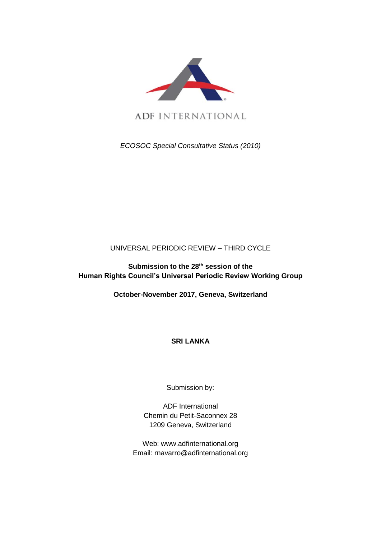

ADF INTERNATIONAL

*ECOSOC Special Consultative Status (2010)*

## UNIVERSAL PERIODIC REVIEW – THIRD CYCLE

**Submission to the 28th session of the Human Rights Council's Universal Periodic Review Working Group**

**October-November 2017, Geneva, Switzerland**

**SRI LANKA**

Submission by:

ADF International Chemin du Petit-Saconnex 28 1209 Geneva, Switzerland

Web: www.adfinternational.org Email: rnavarro@adfinternational.org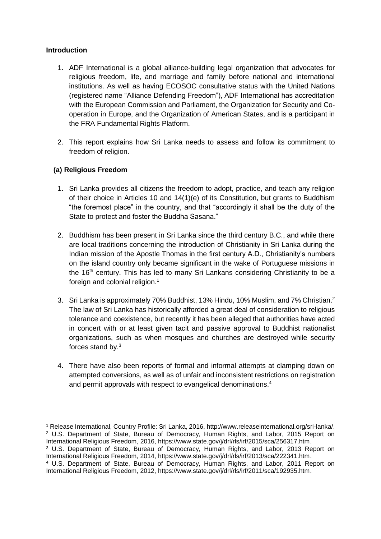## **Introduction**

- 1. ADF International is a global alliance-building legal organization that advocates for religious freedom, life, and marriage and family before national and international institutions. As well as having ECOSOC consultative status with the United Nations (registered name "Alliance Defending Freedom"), ADF International has accreditation with the European Commission and Parliament, the Organization for Security and Cooperation in Europe, and the Organization of American States, and is a participant in the FRA Fundamental Rights Platform.
- 2. This report explains how Sri Lanka needs to assess and follow its commitment to freedom of religion.

## **(a) Religious Freedom**

- 1. Sri Lanka provides all citizens the freedom to adopt, practice, and teach any religion of their choice in Articles 10 and 14(1)(e) of its Constitution, but grants to Buddhism "the foremost place" in the country, and that "accordingly it shall be the duty of the State to protect and foster the Buddha Sasana."
- 2. Buddhism has been present in Sri Lanka since the third century B.C., and while there are local traditions concerning the introduction of Christianity in Sri Lanka during the Indian mission of the Apostle Thomas in the first century A.D., Christianity's numbers on the island country only became significant in the wake of Portuguese missions in the 16<sup>th</sup> century. This has led to many Sri Lankans considering Christianity to be a foreign and colonial religion.<sup>1</sup>
- 3. Sri Lanka is approximately 70% Buddhist, 13% Hindu, 10% Muslim, and 7% Christian.<sup>2</sup> The law of Sri Lanka has historically afforded a great deal of consideration to religious tolerance and coexistence, but recently it has been alleged that authorities have acted in concert with or at least given tacit and passive approval to Buddhist nationalist organizations, such as when mosques and churches are destroyed while security forces stand by.<sup>3</sup>
- 4. There have also been reports of formal and informal attempts at clamping down on attempted conversions, as well as of unfair and inconsistent restrictions on registration and permit approvals with respect to evangelical denominations.<sup>4</sup>

<sup>-</sup><sup>1</sup> Release International, Country Profile: Sri Lanka, 2016, http://www.releaseinternational.org/sri-lanka/. <sup>2</sup> U.S. Department of State, Bureau of Democracy, Human Rights, and Labor, 2015 Report on International Religious Freedom, 2016, https://www.state.gov/j/drl/rls/irf/2015/sca/256317.htm.

<sup>3</sup> U.S. Department of State, Bureau of Democracy, Human Rights, and Labor, 2013 Report on International Religious Freedom, 2014, https://www.state.gov/j/drl/rls/irf/2013/sca/222341.htm.

<sup>4</sup> U.S. Department of State, Bureau of Democracy, Human Rights, and Labor, 2011 Report on International Religious Freedom, 2012, https://www.state.gov/j/drl/rls/irf/2011/sca/192935.htm.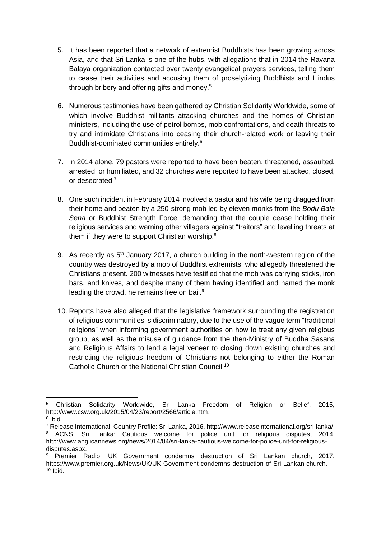- 5. It has been reported that a network of extremist Buddhists has been growing across Asia, and that Sri Lanka is one of the hubs, with allegations that in 2014 the Ravana Balaya organization contacted over twenty evangelical prayers services, telling them to cease their activities and accusing them of proselytizing Buddhists and Hindus through bribery and offering gifts and money.<sup>5</sup>
- 6. Numerous testimonies have been gathered by Christian Solidarity Worldwide, some of which involve Buddhist militants attacking churches and the homes of Christian ministers, including the use of petrol bombs, mob confrontations, and death threats to try and intimidate Christians into ceasing their church-related work or leaving their Buddhist-dominated communities entirely.<sup>6</sup>
- 7. In 2014 alone, 79 pastors were reported to have been beaten, threatened, assaulted, arrested, or humiliated, and 32 churches were reported to have been attacked, closed, or desecrated.<sup>7</sup>
- 8. One such incident in February 2014 involved a pastor and his wife being dragged from their home and beaten by a 250-strong mob led by eleven monks from the *Bodu Bala Sena* or Buddhist Strength Force, demanding that the couple cease holding their religious services and warning other villagers against "traitors" and levelling threats at them if they were to support Christian worship.<sup>8</sup>
- 9. As recently as  $5<sup>th</sup>$  January 2017, a church building in the north-western region of the country was destroyed by a mob of Buddhist extremists, who allegedly threatened the Christians present. 200 witnesses have testified that the mob was carrying sticks, iron bars, and knives, and despite many of them having identified and named the monk leading the crowd, he remains free on bail.<sup>9</sup>
- 10. Reports have also alleged that the legislative framework surrounding the registration of religious communities is discriminatory, due to the use of the vague term "traditional religions" when informing government authorities on how to treat any given religious group, as well as the misuse of guidance from the then-Ministry of Buddha Sasana and Religious Affairs to lend a legal veneer to closing down existing churches and restricting the religious freedom of Christians not belonging to either the Roman Catholic Church or the National Christian Council.<sup>10</sup>

<sup>-</sup><sup>5</sup> Christian Solidarity Worldwide, Sri Lanka Freedom of Religion or Belief, 2015, http://www.csw.org.uk/2015/04/23/report/2566/article.htm.

<sup>6</sup> Ibid.

<sup>7</sup> Release International, Country Profile: Sri Lanka, 2016, http://www.releaseinternational.org/sri-lanka/. <sup>8</sup> ACNS, Sri Lanka: Cautious welcome for police unit for religious disputes, 2014, http://www.anglicannews.org/news/2014/04/sri-lanka-cautious-welcome-for-police-unit-for-religiousdisputes.aspx.

<sup>9</sup> Premier Radio, UK Government condemns destruction of Sri Lankan church, 2017, https://www.premier.org.uk/News/UK/UK-Government-condemns-destruction-of-Sri-Lankan-church.  $10$  Ibid.